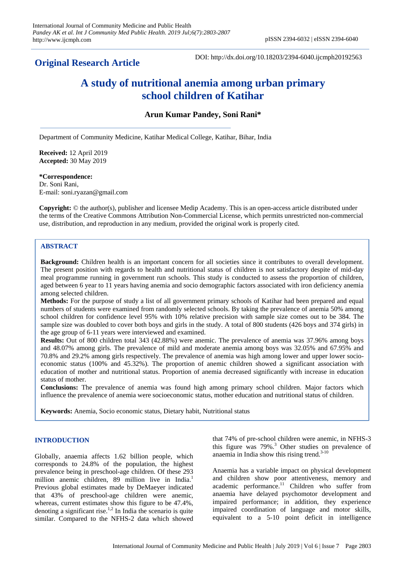**Original Research Article**

DOI: http://dx.doi.org/10.18203/2394-6040.ijcmph20192563

# **A study of nutritional anemia among urban primary school children of Katihar**

# **Arun Kumar Pandey, Soni Rani\***

Department of Community Medicine, Katihar Medical College, Katihar, Bihar, India

**Received:** 12 April 2019 **Accepted:** 30 May 2019

#### **\*Correspondence:**

Dr. Soni Rani, E-mail: soni.ryazan@gmail.com

**Copyright:** © the author(s), publisher and licensee Medip Academy. This is an open-access article distributed under the terms of the Creative Commons Attribution Non-Commercial License, which permits unrestricted non-commercial use, distribution, and reproduction in any medium, provided the original work is properly cited.

# **ABSTRACT**

**Background:** Children health is an important concern for all societies since it contributes to overall development. The present position with regards to health and nutritional status of children is not satisfactory despite of mid-day meal programme running in government run schools. This study is conducted to assess the proportion of children, aged between 6 year to 11 years having anemia and socio demographic factors associated with iron deficiency anemia among selected children.

**Methods:** For the purpose of study a list of all government primary schools of Katihar had been prepared and equal numbers of students were examined from randomly selected schools. By taking the prevalence of anemia 50% among school children for confidence level 95% with 10% relative precision with sample size comes out to be 384. The sample size was doubled to cover both boys and girls in the study. A total of 800 students (426 boys and 374 girls) in the age group of 6-11 years were interviewed and examined.

**Results:** Out of 800 children total 343 (42.88%) were anemic. The prevalence of anemia was 37.96% among boys and 48.07% among girls. The prevalence of mild and moderate anemia among boys was 32.05% and 67.95% and 70.8% and 29.2% among girls respectively. The prevalence of anemia was high among lower and upper lower socioeconomic status (100% and 45.32%). The proportion of anemic children showed a significant association with education of mother and nutritional status. Proportion of anemia decreased significantly with increase in education status of mother.

**Conclusions:** The prevalence of anemia was found high among primary school children. Major factors which influence the prevalence of anemia were socioeconomic status, mother education and nutritional status of children.

**Keywords:** Anemia, Socio economic status, Dietary habit, Nutritional status

## **INTRODUCTION**

Globally, anaemia affects 1.62 billion people, which corresponds to 24.8% of the population, the highest prevalence being in preschool-age children. Of these 293 million anemic children, 89 million live in India.<sup>1</sup> Previous global estimates made by DeMaeyer indicated that 43% of preschool-age children were anemic, whereas, current estimates show this figure to be 47.4%, denoting a significant rise.<sup>1,2</sup> In India the scenario is quite similar. Compared to the NFHS-2 data which showed that 74% of pre-school children were anemic, in NFHS-3 this figure was  $79\%$ .<sup>3</sup> Other studies on prevalence of anaemia in India show this rising trend. $3-10$ 

Anaemia has a variable impact on physical development and children show poor attentiveness, memory and academic performance.<sup>11</sup> Children who suffer from anaemia have delayed psychomotor development and impaired performance; in addition, they experience impaired coordination of language and motor skills, equivalent to a 5-10 point deficit in intelligence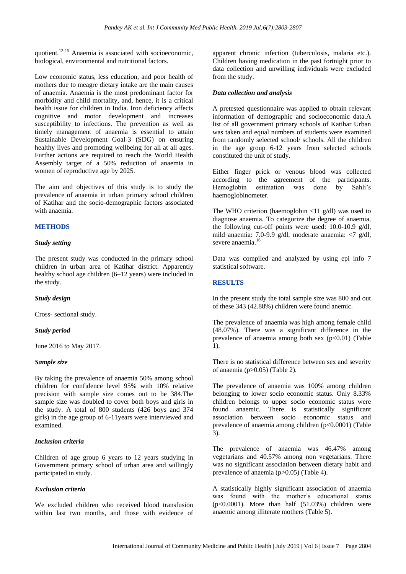quotient.12-15 Anaemia is associated with socioeconomic, biological, environmental and nutritional factors.

Low economic status, less education, and poor health of mothers due to meagre dietary intake are the main causes of anaemia. Anaemia is the most predominant factor for morbidity and child mortality, and, hence, it is a critical health issue for children in India. Iron deficiency affects cognitive and motor development and increases susceptibility to infections. The prevention as well as timely management of anaemia is essential to attain Sustainable Development Goal-3 (SDG) on ensuring healthy lives and promoting wellbeing for all at all ages. Further actions are required to reach the World Health Assembly target of a 50% reduction of anaemia in women of reproductive age by 2025.

The aim and objectives of this study is to study the prevalence of anaemia in urban primary school children of Katihar and the socio-demographic factors associated with anaemia.

## **METHODS**

## *Study setting*

The present study was conducted in the primary school children in urban area of Katihar district. Apparently healthy school age children (6–12 years) were included in the study.

## *Study design*

Cross- sectional study.

## *Study period*

June 2016 to May 2017.

# *Sample size*

By taking the prevalence of anaemia 50% among school children for confidence level 95% with 10% relative precision with sample size comes out to be 384.The sample size was doubled to cover both boys and girls in the study. A total of 800 students (426 boys and 374 girls) in the age group of 6-11years were interviewed and examined.

# *Inclusion criteria*

Children of age group 6 years to 12 years studying in Government primary school of urban area and willingly participated in study.

# *Exclusion criteria*

We excluded children who received blood transfusion within last two months, and those with evidence of apparent chronic infection (tuberculosis, malaria etc.). Children having medication in the past fortnight prior to data collection and unwilling individuals were excluded from the study.

## *Data collection and analysis*

A pretested questionnaire was applied to obtain relevant information of demographic and socioeconomic data.A list of all government primary schools of Katihar Urban was taken and equal numbers of students were examined from randomly selected school/ schools. All the children in the age group 6-12 years from selected schools constituted the unit of study.

Either finger prick or venous blood was collected according to the agreement of the participants. Hemoglobin estimation was done by Sahli's haemoglobinometer.

The WHO criterion (haemoglobin <11 g/dl) was used to diagnose anaemia. To categorize the degree of anaemia, the following cut-off points were used: 10.0-10.9 g/dl, mild anaemia: 7.0-9.9 g/dl, moderate anaemia: <7 g/dl, severe anaemia.<sup>16</sup>

Data was compiled and analyzed by using epi info 7 statistical software.

# **RESULTS**

In the present study the total sample size was 800 and out of these 343 (42.88%) children were found anemic.

The prevalence of anaemia was high among female child (48.07%). There was a significant difference in the prevalence of anaemia among both sex  $(p<0.01)$  (Table 1).

There is no statistical difference between sex and severity of anaemia (p>0.05) (Table 2).

The prevalence of anaemia was 100% among children belonging to lower socio economic status. Only 8.33% children belongs to upper socio economic status were found anaemic. There is statistically significant association between socio economic status and prevalence of anaemia among children (p<0.0001) (Table 3).

The prevalence of anaemia was 46.47% among vegetarians and 40.57% among non vegetarians. There was no significant association between dietary habit and prevalence of anaemia (p>0.05) (Table 4).

A statistically highly significant association of anaemia was found with the mother's educational status  $(p<0.0001)$ . More than half  $(51.03%)$  children were anaemic among illiterate mothers (Table 5).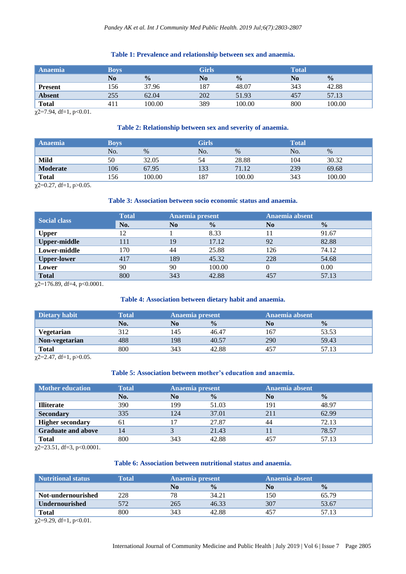# **Table 1: Prevalence and relationship between sex and anaemia.**

| <b>Anaemia</b> | <b>Boys</b>    |               | <b>Girls</b>   |               | <b>Total</b> |               |
|----------------|----------------|---------------|----------------|---------------|--------------|---------------|
|                | N <sub>0</sub> | $\frac{0}{0}$ | N <sub>0</sub> | $\frac{0}{0}$ | No           | $\frac{0}{0}$ |
| <b>Present</b> | 156            | 37.96         | 187            | 48.07         | 343          | 42.88         |
| <b>Absent</b>  | 255            | 62.04         | 202            | 51.93         | 457          | 57.13         |
| <b>Total</b>   | 41.            | 100.00        | 389            | 100.00        | 800          | 100.00        |

 $\chi$ 2=7.94, df=1, p<0.01.

## **Table 2: Relationship between sex and severity of anaemia.**

| <b>Anaemia</b>  | <b>Boys</b> |        | <b>Girls</b> |        | Total |        |
|-----------------|-------------|--------|--------------|--------|-------|--------|
|                 | No.         | $\%$   | No.          | $\%$   | No.   | $\%$   |
| Mild            | 50          | 32.05  | 54           | 28.88  | 104   | 30.32  |
| <b>Moderate</b> | 106         | 67.95  | 133          | 71.12  | 239   | 69.68  |
| <b>Total</b>    | 156         | 100.00 | 187          | 100.00 | 343   | 100.00 |

 $\chi$ 2=0.27, df=1, p>0.05.

## **Table 3: Association between socio economic status and anaemia.**

| <b>Social class</b> | <b>Total</b> | Anaemia present |               | Anaemia absent |               |
|---------------------|--------------|-----------------|---------------|----------------|---------------|
|                     | No.          | No              | $\frac{0}{0}$ | N <sub>0</sub> | $\frac{0}{0}$ |
| <b>Upper</b>        | 12           |                 | 8.33          | 11             | 91.67         |
| <b>Upper-middle</b> | l 11         | 19              | 17.12         | 92             | 82.88         |
| Lower-middle        | 170          | 44              | 25.88         | 126            | 74.12         |
| <b>Upper-lower</b>  | 417          | 189             | 45.32         | 228            | 54.68         |
| Lower               | 90           | 90              | 100.00        |                | 0.00          |
| <b>Total</b>        | 800          | 343             | 42.88         | 457            | 57.13         |

 $\chi$ 2=176.89, df=4, p<0.0001.

#### **Table 4: Association between dietary habit and anaemia.**

| Dietary habit  | Total | Anaemia present |               | Anaemia absent |               |
|----------------|-------|-----------------|---------------|----------------|---------------|
|                | No.   | No              | $\frac{0}{0}$ | No             | $\frac{0}{0}$ |
| Vegetarian     | 312   | 145             | 46.47         | 167            | 53.53         |
| Non-vegetarian | 488   | 198             | 40.57         | 290            | 59.43         |
| <b>Total</b>   | 800   | 343             | 42.88         | 457            |               |

 $\chi$ 2=2.47, df=1, p>0.05.

#### **Table 5: Association between mother's education and anaemia.**

| <b>Mother education</b>   | <b>Total</b> |     | Anaemia present |                | Anaemia absent |  |
|---------------------------|--------------|-----|-----------------|----------------|----------------|--|
|                           | No.          | No  | $\frac{0}{0}$   | N <sub>0</sub> | $\frac{0}{0}$  |  |
| <b>Illiterate</b>         | 390          | 199 | 51.03           | 191            | 48.97          |  |
| <b>Secondary</b>          | 335          | 124 | 37.01           | 211            | 62.99          |  |
| <b>Higher secondary</b>   | 61           |     | 27.87           | 44             | 72.13          |  |
| <b>Graduate and above</b> | 14           |     | 21.43           |                | 78.57          |  |
| <b>Total</b>              | 800          | 343 | 42.88           | 457            | 57.13          |  |

 $\sqrt{2}$ =23.51, df=3, p<0.0001.

## **Table 6: Association between nutritional status and anaemia.**

| <b>Nutritional status</b> | Total | Anaemia present |               | Anaemia absent  |               |
|---------------------------|-------|-----------------|---------------|-----------------|---------------|
|                           |       | No              | $\frac{0}{0}$ | No              | $\frac{0}{0}$ |
| Not-undernourished        | 228   | 78              | 34.21         | 150             | 65.79         |
| <b>Undernourished</b>     |       | 265             | 46.33         | 307             | 53.67         |
| Total                     | 800   | 343             | 42.88         | 45 <sup>7</sup> | 57.13         |

 $\sqrt{2}$ =9.29, df=1, p<0.01.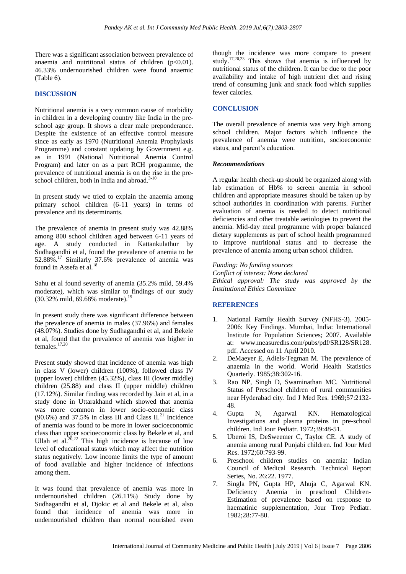There was a significant association between prevalence of anaemia and nutritional status of children  $(p<0.01)$ . 46.33% undernourished children were found anaemic (Table 6).

## **DISCUSSION**

Nutritional anemia is a very common cause of morbidity in children in a developing country like India in the preschool age group. It shows a clear male preponderance. Despite the existence of an effective control measure since as early as 1970 (Nutritional Anemia Prophylaxis Programme) and constant updating by Government e.g. as in 1991 (National Nutritional Anemia Control Program) and later on as a part RCH programme, the prevalence of nutritional anemia is on the rise in the preschool children, both in India and abroad.<sup>3-10</sup>

In present study we tried to explain the anaemia among primary school children (6-11 years) in terms of prevalence and its determinants.

The prevalence of anemia in present study was 42.88% among 800 school children aged between 6-11 years of age. A study conducted in Kattankulathur by Sudhagandhi et al, found the prevalence of anemia to be 52.88%.<sup>17</sup> Similarly 37.6% prevalence of anemia was found in Assefa et al.<sup>18</sup>

Sahu et al found severity of anemia (35.2% mild, 59.4% moderate), which was similar to findings of our study  $(30.32\% \text{ mild}, 69.68\% \text{ moderate})$ .<sup>1</sup>

In present study there was significant difference between the prevalence of anemia in males (37.96%) and females (48.07%). Studies done by Sudhagandhi et al, and Bekele et al, found that the prevalence of anemia was higher in females.17,20

Present study showed that incidence of anemia was high in class V (lower) children (100%), followed class IV (upper lower) children (45.32%), class III (lower middle) children (25.88) and class II (upper middle) children (17.12%). Similar finding was recorded by Jain et al, in a study done in Uttarakhand which showed that anemia was more common in lower socio-economic class  $(90.6\%)$  and 37.5% in class III and Class II.<sup>21</sup> Incidence of anemia was found to be more in lower socioeconomic class than upper socioeconomic class by Bekele et al, and Ullah et al.<sup>20,22</sup> This high incidence is because of low level of educational status which may affect the nutrition status negatively. Low income limits the type of amount of food available and higher incidence of infections among them.

It was found that prevalence of anemia was more in undernourished children (26.11%) Study done by Sudhagandhi et al, Djokic et al and Bekele et al, also found that incidence of anemia was more in undernourished children than normal nourished even

though the incidence was more compare to present study.<sup>17,20,23</sup> This shows that anemia is influenced by nutritional status of the children. It can be due to the poor availability and intake of high nutrient diet and rising trend of consuming junk and snack food which supplies fewer calories.

## **CONCLUSION**

The overall prevalence of anemia was very high among school children. Major factors which influence the prevalence of anemia were nutrition, socioeconomic status, and parent's education.

#### *Recommendations*

A regular health check-up should be organized along with lab estimation of Hb% to screen anemia in school children and appropriate measures should be taken up by school authorities in coordination with parents. Further evaluation of anemia is needed to detect nutritional deficiencies and other treatable aetiologies to prevent the anemia. Mid-day meal programme with proper balanced dietary supplements as part of school health programmed to improve nutritional status and to decrease the prevalence of anemia among urban school children.

*Funding: No funding sources Conflict of interest: None declared Ethical approval: The study was approved by the Institutional Ethics Committee*

## **REFERENCES**

- 1. National Family Health Survey (NFHS-3). 2005- 2006: Key Findings. Mumbai, India: International Institute for Population Sciences; 2007. Available at: www.measuredhs.com/pubs/pdf/SR128/SR128. pdf. Accessed on 11 April 2010.
- 2. DeMaeyer E, Adiels-Tegman M. The prevalence of anaemia in the world. World Health Statistics Quarterly. 1985;38:302-16.
- 3. Rao NP, Singh D, Swaminathan MC. Nutritional Status of Preschool children of rural communities near Hyderabad city. Ind J Med Res. 1969;57:2132- 48.
- 4. Gupta N, Agarwal KN. Hematological Investigations and plasma proteins in pre-school children. Ind Jour Pediatr. 1972;39:48-51.
- 5. Uberoi IS, DeSweemer C, Taylor CE. A study of anemia among rural Punjabi children. Ind Jour Med Res. 1972;60:793-99.
- 6. Preschool children studies on anemia: Indian Council of Medical Research. Technical Report Series, No. 26:22. 1977.
- 7. Singla PN, Gupta HP, Ahuja C, Agarwal KN. Deficiency Anemia in preschool Children-Estimation of prevalence based on response to haematinic supplementation, Jour Trop Pediatr. 1982;28:77-80.